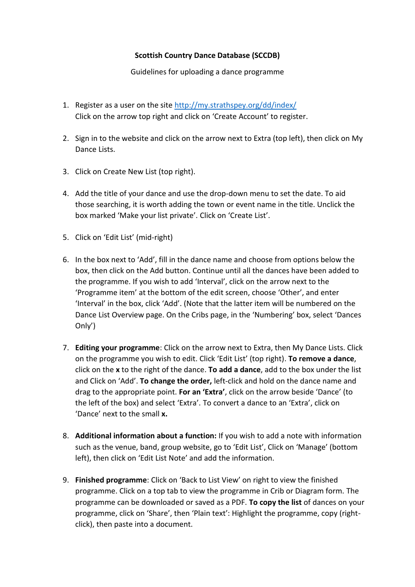## **Scottish Country Dance Database (SCCDB)**

Guidelines for uploading a dance programme

- 1. Register as a user on the site<http://my.strathspey.org/dd/index/> Click on the arrow top right and click on 'Create Account' to register.
- 2. Sign in to the website and click on the arrow next to Extra (top left), then click on My Dance Lists.
- 3. Click on Create New List (top right).
- 4. Add the title of your dance and use the drop-down menu to set the date. To aid those searching, it is worth adding the town or event name in the title. Unclick the box marked 'Make your list private'. Click on 'Create List'.
- 5. Click on 'Edit List' (mid-right)
- 6. In the box next to 'Add', fill in the dance name and choose from options below the box, then click on the Add button. Continue until all the dances have been added to the programme. If you wish to add 'Interval', click on the arrow next to the 'Programme item' at the bottom of the edit screen, choose 'Other', and enter 'Interval' in the box, click 'Add'. (Note that the latter item will be numbered on the Dance List Overview page. On the Cribs page, in the 'Numbering' box, select 'Dances Only')
- 7. **Editing your programme**: Click on the arrow next to Extra, then My Dance Lists. Click on the programme you wish to edit. Click 'Edit List' (top right). **To remove a dance**, click on the **x** to the right of the dance. **To add a dance**, add to the box under the list and Click on 'Add'. **To change the order,** left-click and hold on the dance name and drag to the appropriate point. **For an 'Extra'**, click on the arrow beside 'Dance' (to the left of the box) and select 'Extra'. To convert a dance to an 'Extra', click on 'Dance' next to the small **x.**
- 8. **Additional information about a function:** If you wish to add a note with information such as the venue, band, group website, go to 'Edit List', Click on 'Manage' (bottom left), then click on 'Edit List Note' and add the information.
- 9. **Finished programme**: Click on 'Back to List View' on right to view the finished programme. Click on a top tab to view the programme in Crib or Diagram form. The programme can be downloaded or saved as a PDF. **To copy the list** of dances on your programme, click on 'Share', then 'Plain text': Highlight the programme, copy (rightclick), then paste into a document.